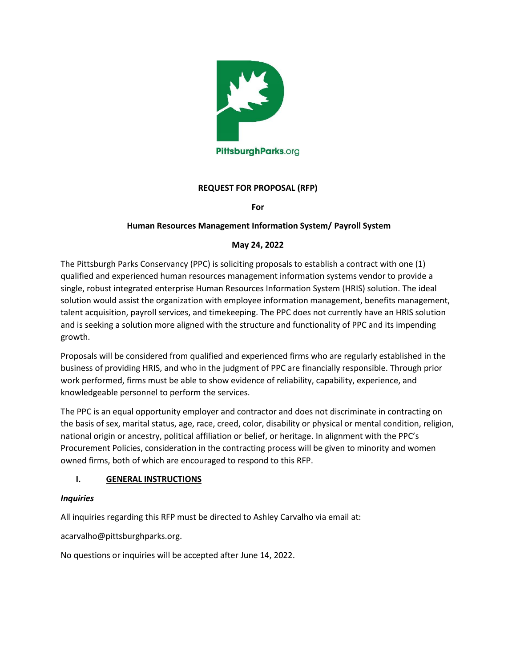

## **REQUEST FOR PROPOSAL (RFP)**

**For**

## **Human Resources Management Information System/ Payroll System**

### **May 24, 2022**

The Pittsburgh Parks Conservancy (PPC) is soliciting proposals to establish a contract with one (1) qualified and experienced human resources management information systems vendor to provide a single, robust integrated enterprise Human Resources Information System (HRIS) solution. The ideal solution would assist the organization with employee information management, benefits management, talent acquisition, payroll services, and timekeeping. The PPC does not currently have an HRIS solution and is seeking a solution more aligned with the structure and functionality of PPC and its impending growth.

Proposals will be considered from qualified and experienced firms who are regularly established in the business of providing HRIS, and who in the judgment of PPC are financially responsible. Through prior work performed, firms must be able to show evidence of reliability, capability, experience, and knowledgeable personnel to perform the services.

The PPC is an equal opportunity employer and contractor and does not discriminate in contracting on the basis of sex, marital status, age, race, creed, color, disability or physical or mental condition, religion, national origin or ancestry, political affiliation or belief, or heritage. In alignment with the PPC's Procurement Policies, consideration in the contracting process will be given to minority and women owned firms, both of which are encouraged to respond to this RFP.

### **I. GENERAL INSTRUCTIONS**

### *Inquiries*

All inquiries regarding this RFP must be directed to Ashley Carvalho via email at:

acarvalho@pittsburghparks.org.

No questions or inquiries will be accepted after June 14, 2022.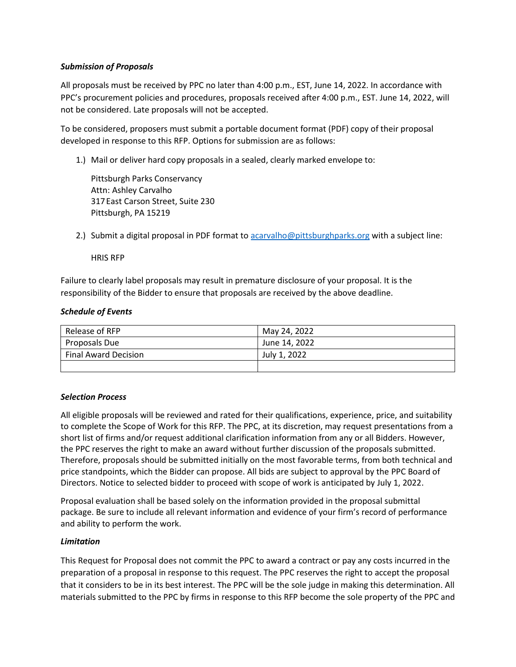### *Submission of Proposals*

All proposals must be received by PPC no later than 4:00 p.m., EST, June 14, 2022. In accordance with PPC's procurement policies and procedures, proposals received after 4:00 p.m., EST. June 14, 2022, will not be considered. Late proposals will not be accepted.

To be considered, proposers must submit a portable document format (PDF) copy of their proposal developed in response to this RFP. Options for submission are as follows:

1.) Mail or deliver hard copy proposals in a sealed, clearly marked envelope to:

Pittsburgh Parks Conservancy Attn: Ashley Carvalho 317East Carson Street, Suite 230 Pittsburgh, PA 15219

2.) Submit a digital proposal in PDF format to [acarvalho@pittsburghparks.org](mailto:acarvalho@pittsburghparks.org) with a subject line:

HRIS RFP

Failure to clearly label proposals may result in premature disclosure of your proposal. It is the responsibility of the Bidder to ensure that proposals are received by the above deadline.

### *Schedule of Events*

| Release of RFP              | May 24, 2022  |
|-----------------------------|---------------|
| Proposals Due               | June 14, 2022 |
| <b>Final Award Decision</b> | July 1, 2022  |
|                             |               |

### *Selection Process*

All eligible proposals will be reviewed and rated for their qualifications, experience, price, and suitability to complete the Scope of Work for this RFP. The PPC, at its discretion, may request presentations from a short list of firms and/or request additional clarification information from any or all Bidders. However, the PPC reserves the right to make an award without further discussion of the proposals submitted. Therefore, proposals should be submitted initially on the most favorable terms, from both technical and price standpoints, which the Bidder can propose. All bids are subject to approval by the PPC Board of Directors. Notice to selected bidder to proceed with scope of work is anticipated by July 1, 2022.

Proposal evaluation shall be based solely on the information provided in the proposal submittal package. Be sure to include all relevant information and evidence of your firm's record of performance and ability to perform the work.

### *Limitation*

This Request for Proposal does not commit the PPC to award a contract or pay any costs incurred in the preparation of a proposal in response to this request. The PPC reserves the right to accept the proposal that it considers to be in its best interest. The PPC will be the sole judge in making this determination. All materials submitted to the PPC by firms in response to this RFP become the sole property of the PPC and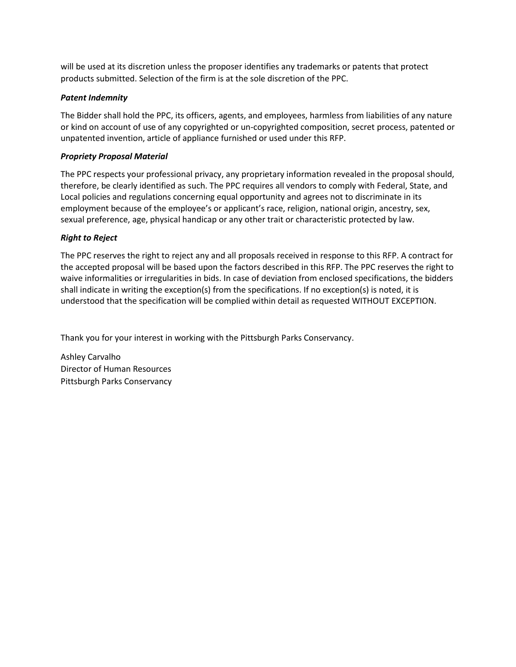will be used at its discretion unless the proposer identifies any trademarks or patents that protect products submitted. Selection of the firm is at the sole discretion of the PPC.

### *Patent Indemnity*

The Bidder shall hold the PPC, its officers, agents, and employees, harmless from liabilities of any nature or kind on account of use of any copyrighted or un-copyrighted composition, secret process, patented or unpatented invention, article of appliance furnished or used under this RFP.

### *Propriety Proposal Material*

The PPC respects your professional privacy, any proprietary information revealed in the proposal should, therefore, be clearly identified as such. The PPC requires all vendors to comply with Federal, State, and Local policies and regulations concerning equal opportunity and agrees not to discriminate in its employment because of the employee's or applicant's race, religion, national origin, ancestry, sex, sexual preference, age, physical handicap or any other trait or characteristic protected by law.

## *Right to Reject*

The PPC reserves the right to reject any and all proposals received in response to this RFP. A contract for the accepted proposal will be based upon the factors described in this RFP. The PPC reserves the right to waive informalities or irregularities in bids. In case of deviation from enclosed specifications, the bidders shall indicate in writing the exception(s) from the specifications. If no exception(s) is noted, it is understood that the specification will be complied within detail as requested WITHOUT EXCEPTION.

Thank you for your interest in working with the Pittsburgh Parks Conservancy.

Ashley Carvalho Director of Human Resources Pittsburgh Parks Conservancy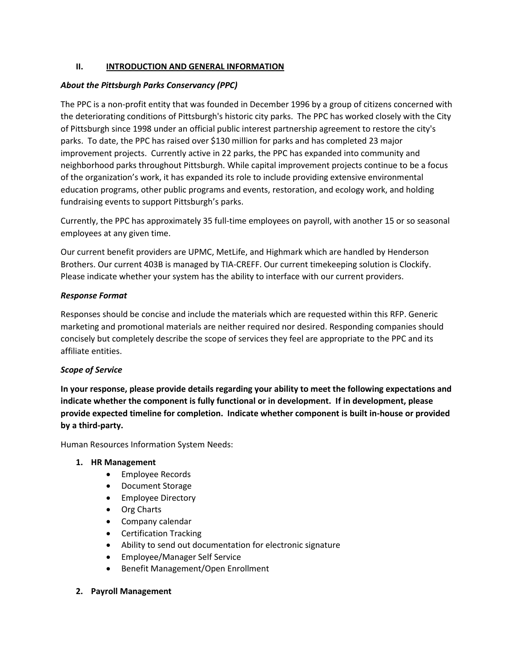## **II. INTRODUCTION AND GENERAL INFORMATION**

## *About the Pittsburgh Parks Conservancy (PPC)*

The PPC is a non-profit entity that was founded in December 1996 by a group of citizens concerned with the deteriorating conditions of Pittsburgh's historic city parks. The PPC has worked closely with the City of Pittsburgh since 1998 under an official public interest partnership agreement to restore the city's parks. To date, the PPC has raised over \$130 million for parks and has completed 23 major improvement projects. Currently active in 22 parks, the PPC has expanded into community and neighborhood parks throughout Pittsburgh. While capital improvement projects continue to be a focus of the organization's work, it has expanded its role to include providing extensive environmental education programs, other public programs and events, restoration, and ecology work, and holding fundraising events to support Pittsburgh's parks.

Currently, the PPC has approximately 35 full-time employees on payroll, with another 15 or so seasonal employees at any given time.

Our current benefit providers are UPMC, MetLife, and Highmark which are handled by Henderson Brothers. Our current 403B is managed by TIA-CREFF. Our current timekeeping solution is Clockify. Please indicate whether your system has the ability to interface with our current providers.

### *Response Format*

Responses should be concise and include the materials which are requested within this RFP. Generic marketing and promotional materials are neither required nor desired. Responding companies should concisely but completely describe the scope of services they feel are appropriate to the PPC and its affiliate entities.

### *Scope of Service*

**In your response, please provide details regarding your ability to meet the following expectations and indicate whether the component is fully functional or in development. If in development, please provide expected timeline for completion. Indicate whether component is built in-house or provided by a third-party.** 

Human Resources Information System Needs:

### **1. HR Management**

- Employee Records
- Document Storage
- Employee Directory
- Org Charts
- Company calendar
- Certification Tracking
- Ability to send out documentation for electronic signature
- Employee/Manager Self Service
- Benefit Management/Open Enrollment
- **2. Payroll Management**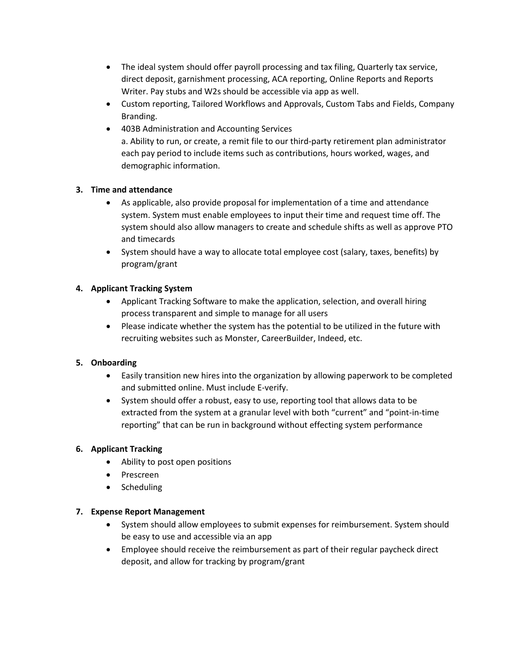- The ideal system should offer payroll processing and tax filing, Quarterly tax service, direct deposit, garnishment processing, ACA reporting, Online Reports and Reports Writer. Pay stubs and W2s should be accessible via app as well.
- Custom reporting, Tailored Workflows and Approvals, Custom Tabs and Fields, Company Branding.
- 403B Administration and Accounting Services a. Ability to run, or create, a remit file to our third-party retirement plan administrator each pay period to include items such as contributions, hours worked, wages, and demographic information.

# **3. Time and attendance**

- As applicable, also provide proposal for implementation of a time and attendance system. System must enable employees to input their time and request time off. The system should also allow managers to create and schedule shifts as well as approve PTO and timecards
- System should have a way to allocate total employee cost (salary, taxes, benefits) by program/grant

# **4. Applicant Tracking System**

- Applicant Tracking Software to make the application, selection, and overall hiring process transparent and simple to manage for all users
- Please indicate whether the system has the potential to be utilized in the future with recruiting websites such as Monster, CareerBuilder, Indeed, etc.

## **5. Onboarding**

- Easily transition new hires into the organization by allowing paperwork to be completed and submitted online. Must include E-verify.
- System should offer a robust, easy to use, reporting tool that allows data to be extracted from the system at a granular level with both "current" and "point-in-time reporting" that can be run in background without effecting system performance

## **6. Applicant Tracking**

- Ability to post open positions
- Prescreen
- Scheduling

## **7. Expense Report Management**

- System should allow employees to submit expenses for reimbursement. System should be easy to use and accessible via an app
- Employee should receive the reimbursement as part of their regular paycheck direct deposit, and allow for tracking by program/grant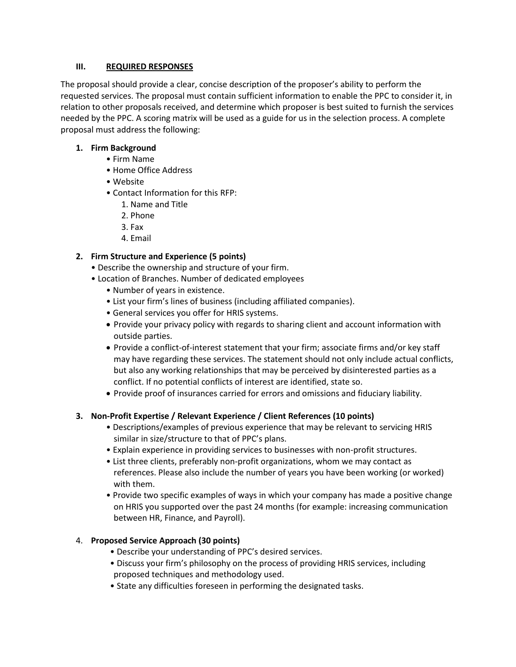## **III. REQUIRED RESPONSES**

The proposal should provide a clear, concise description of the proposer's ability to perform the requested services. The proposal must contain sufficient information to enable the PPC to consider it, in relation to other proposals received, and determine which proposer is best suited to furnish the services needed by the PPC. A scoring matrix will be used as a guide for us in the selection process. A complete proposal must address the following:

## **1. Firm Background**

- Firm Name
- Home Office Address
- Website
- Contact Information for this RFP:
	- 1. Name and Title
	- 2. Phone
	- 3. Fax
	- 4. Email

# **2. Firm Structure and Experience (5 points)**

- Describe the ownership and structure of your firm.
- Location of Branches. Number of dedicated employees
	- Number of years in existence.
	- List your firm's lines of business (including affiliated companies).
	- General services you offer for HRIS systems.
	- Provide your privacy policy with regards to sharing client and account information with outside parties.
	- Provide a conflict-of-interest statement that your firm; associate firms and/or key staff may have regarding these services. The statement should not only include actual conflicts, but also any working relationships that may be perceived by disinterested parties as a conflict. If no potential conflicts of interest are identified, state so.
	- Provide proof of insurances carried for errors and omissions and fiduciary liability.

## **3. Non-Profit Expertise / Relevant Experience / Client References (10 points)**

- Descriptions/examples of previous experience that may be relevant to servicing HRIS similar in size/structure to that of PPC's plans.
- Explain experience in providing services to businesses with non-profit structures.
- List three clients, preferably non-profit organizations, whom we may contact as references. Please also include the number of years you have been working (or worked) with them.
- Provide two specific examples of ways in which your company has made a positive change on HRIS you supported over the past 24 months (for example: increasing communication between HR, Finance, and Payroll).

## 4. **Proposed Service Approach (30 points)**

- Describe your understanding of PPC's desired services.
- Discuss your firm's philosophy on the process of providing HRIS services, including proposed techniques and methodology used.
- State any difficulties foreseen in performing the designated tasks.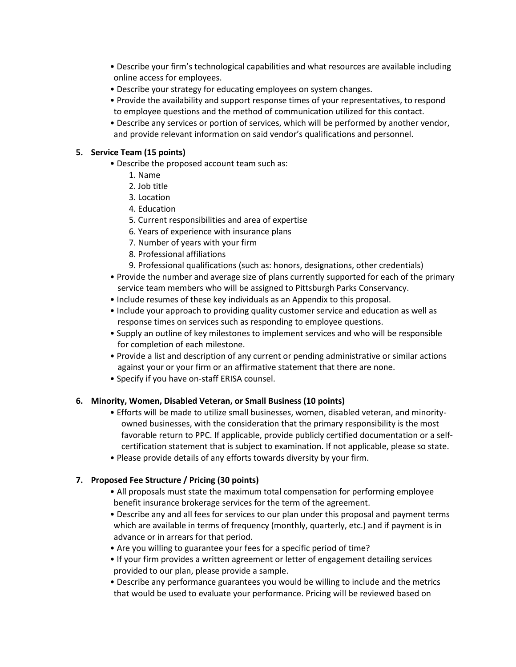- Describe your firm's technological capabilities and what resources are available including online access for employees.
- Describe your strategy for educating employees on system changes.
- Provide the availability and support response times of your representatives, to respond to employee questions and the method of communication utilized for this contact.
- Describe any services or portion of services, which will be performed by another vendor, and provide relevant information on said vendor's qualifications and personnel.

## **5. Service Team (15 points)**

- Describe the proposed account team such as:
	- 1. Name
	- 2. Job title
	- 3. Location
	- 4. Education
	- 5. Current responsibilities and area of expertise
	- 6. Years of experience with insurance plans
	- 7. Number of years with your firm
	- 8. Professional affiliations
	- 9. Professional qualifications (such as: honors, designations, other credentials)
- Provide the number and average size of plans currently supported for each of the primary service team members who will be assigned to Pittsburgh Parks Conservancy.
- Include resumes of these key individuals as an Appendix to this proposal.
- Include your approach to providing quality customer service and education as well as response times on services such as responding to employee questions.
- Supply an outline of key milestones to implement services and who will be responsible for completion of each milestone.
- Provide a list and description of any current or pending administrative or similar actions against your or your firm or an affirmative statement that there are none.
- Specify if you have on-staff ERISA counsel.

### **6. Minority, Women, Disabled Veteran, or Small Business (10 points)**

- Efforts will be made to utilize small businesses, women, disabled veteran, and minorityowned businesses, with the consideration that the primary responsibility is the most favorable return to PPC. If applicable, provide publicly certified documentation or a selfcertification statement that is subject to examination. If not applicable, please so state.
- Please provide details of any efforts towards diversity by your firm.

## **7. Proposed Fee Structure / Pricing (30 points)**

- All proposals must state the maximum total compensation for performing employee benefit insurance brokerage services for the term of the agreement.
- Describe any and all fees for services to our plan under this proposal and payment terms which are available in terms of frequency (monthly, quarterly, etc.) and if payment is in advance or in arrears for that period.
- Are you willing to guarantee your fees for a specific period of time?
- If your firm provides a written agreement or letter of engagement detailing services provided to our plan, please provide a sample.
- Describe any performance guarantees you would be willing to include and the metrics that would be used to evaluate your performance. Pricing will be reviewed based on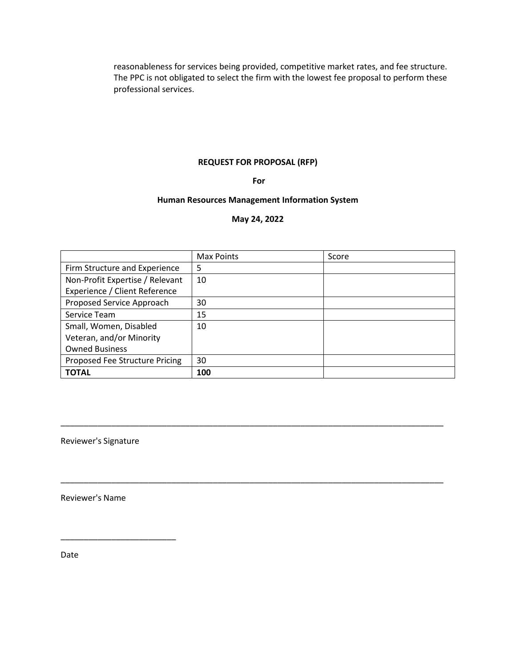reasonableness for services being provided, competitive market rates, and fee structure. The PPC is not obligated to select the firm with the lowest fee proposal to perform these professional services.

## **REQUEST FOR PROPOSAL (RFP)**

#### **For**

#### **Human Resources Management Information System**

#### **May 24, 2022**

|                                 | Max Points | Score |
|---------------------------------|------------|-------|
| Firm Structure and Experience   | 5          |       |
| Non-Profit Expertise / Relevant | 10         |       |
| Experience / Client Reference   |            |       |
| Proposed Service Approach       | 30         |       |
| Service Team                    | 15         |       |
| Small, Women, Disabled          | 10         |       |
| Veteran, and/or Minority        |            |       |
| <b>Owned Business</b>           |            |       |
| Proposed Fee Structure Pricing  | 30         |       |
| <b>TOTAL</b>                    | 100        |       |

\_\_\_\_\_\_\_\_\_\_\_\_\_\_\_\_\_\_\_\_\_\_\_\_\_\_\_\_\_\_\_\_\_\_\_\_\_\_\_\_\_\_\_\_\_\_\_\_\_\_\_\_\_\_\_\_\_\_\_\_\_\_\_\_\_\_\_\_\_\_\_\_\_\_\_\_\_\_\_\_\_\_\_

\_\_\_\_\_\_\_\_\_\_\_\_\_\_\_\_\_\_\_\_\_\_\_\_\_\_\_\_\_\_\_\_\_\_\_\_\_\_\_\_\_\_\_\_\_\_\_\_\_\_\_\_\_\_\_\_\_\_\_\_\_\_\_\_\_\_\_\_\_\_\_\_\_\_\_\_\_\_\_\_\_\_\_

Reviewer's Signature

Reviewer's Name

\_\_\_\_\_\_\_\_\_\_\_\_\_\_\_\_\_\_\_\_\_\_\_\_\_

Date